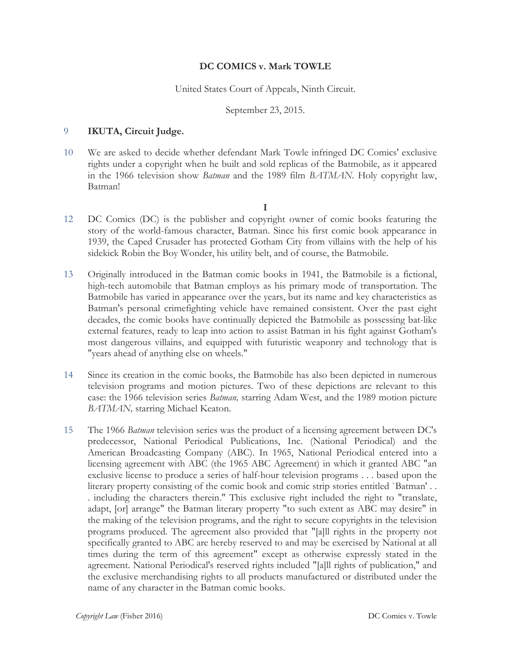# **DC COMICS v. Mark TOWLE**

United States Court of Appeals, Ninth Circuit.

September 23, 2015.

#### 9 **IKUTA, Circuit Judge.**

10 We are asked to decide whether defendant Mark Towle infringed DC Comics' exclusive rights under a copyright when he built and sold replicas of the Batmobile, as it appeared in the 1966 television show *Batman* and the 1989 film *BATMAN.* Holy copyright law, Batman!

**I**

- 12 DC Comics (DC) is the publisher and copyright owner of comic books featuring the story of the world-famous character, Batman. Since his first comic book appearance in 1939, the Caped Crusader has protected Gotham City from villains with the help of his sidekick Robin the Boy Wonder, his utility belt, and of course, the Batmobile.
- 13 Originally introduced in the Batman comic books in 1941, the Batmobile is a fictional, high-tech automobile that Batman employs as his primary mode of transportation. The Batmobile has varied in appearance over the years, but its name and key characteristics as Batman's personal crimefighting vehicle have remained consistent. Over the past eight decades, the comic books have continually depicted the Batmobile as possessing bat-like external features, ready to leap into action to assist Batman in his fight against Gotham's most dangerous villains, and equipped with futuristic weaponry and technology that is "years ahead of anything else on wheels."
- 14 Since its creation in the comic books, the Batmobile has also been depicted in numerous television programs and motion pictures. Two of these depictions are relevant to this case: the 1966 television series *Batman,* starring Adam West, and the 1989 motion picture *BATMAN,* starring Michael Keaton.
- 15 The 1966 *Batman* television series was the product of a licensing agreement between DC's predecessor, National Periodical Publications, Inc. (National Periodical) and the American Broadcasting Company (ABC). In 1965, National Periodical entered into a licensing agreement with ABC (the 1965 ABC Agreement) in which it granted ABC "an exclusive license to produce a series of half-hour television programs . . . based upon the literary property consisting of the comic book and comic strip stories entitled `Batman' . . . including the characters therein." This exclusive right included the right to "translate, adapt, [or] arrange" the Batman literary property "to such extent as ABC may desire" in the making of the television programs, and the right to secure copyrights in the television programs produced. The agreement also provided that "[a]ll rights in the property not specifically granted to ABC are hereby reserved to and may be exercised by National at all times during the term of this agreement" except as otherwise expressly stated in the agreement. National Periodical's reserved rights included "[a]ll rights of publication," and the exclusive merchandising rights to all products manufactured or distributed under the name of any character in the Batman comic books.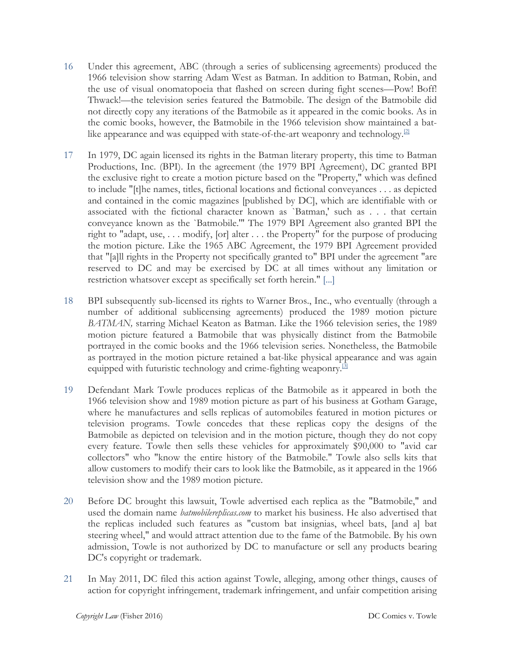- 16 Under this agreement, ABC (through a series of sublicensing agreements) produced the 1966 television show starring Adam West as Batman. In addition to Batman, Robin, and the use of visual onomatopoeia that flashed on screen during fight scenes—Pow! Boff! Thwack!—the television series featured the Batmobile. The design of the Batmobile did not directly copy any iterations of the Batmobile as it appeared in the comic books. As in the comic books, however, the Batmobile in the 1966 television show maintained a batlike appearance and was equipped with state-of-the-art weaponry and technology.<sup>[2]</sup>
- 17 In 1979, DC again licensed its rights in the Batman literary property, this time to Batman Productions, Inc. (BPI). In the agreement (the 1979 BPI Agreement), DC granted BPI the exclusive right to create a motion picture based on the "Property," which was defined to include "[t]he names, titles, fictional locations and fictional conveyances . . . as depicted and contained in the comic magazines [published by DC], which are identifiable with or associated with the fictional character known as `Batman,' such as . . . that certain conveyance known as the `Batmobile.'" The 1979 BPI Agreement also granted BPI the right to "adapt, use, . . . modify, [or] alter . . . the Property" for the purpose of producing the motion picture. Like the 1965 ABC Agreement, the 1979 BPI Agreement provided that "[a]ll rights in the Property not specifically granted to" BPI under the agreement "are reserved to DC and may be exercised by DC at all times without any limitation or restriction whatsover except as specifically set forth herein." [...]
- 18 BPI subsequently sub-licensed its rights to Warner Bros., Inc., who eventually (through a number of additional sublicensing agreements) produced the 1989 motion picture *BATMAN,* starring Michael Keaton as Batman. Like the 1966 television series, the 1989 motion picture featured a Batmobile that was physically distinct from the Batmobile portrayed in the comic books and the 1966 television series. Nonetheless, the Batmobile as portrayed in the motion picture retained a bat-like physical appearance and was again equipped with futuristic technology and crime-fighting weaponry.<sup>[3]</sup>
- 19 Defendant Mark Towle produces replicas of the Batmobile as it appeared in both the 1966 television show and 1989 motion picture as part of his business at Gotham Garage, where he manufactures and sells replicas of automobiles featured in motion pictures or television programs. Towle concedes that these replicas copy the designs of the Batmobile as depicted on television and in the motion picture, though they do not copy every feature. Towle then sells these vehicles for approximately \$90,000 to "avid car collectors" who "know the entire history of the Batmobile." Towle also sells kits that allow customers to modify their cars to look like the Batmobile, as it appeared in the 1966 television show and the 1989 motion picture.
- 20 Before DC brought this lawsuit, Towle advertised each replica as the "Batmobile," and used the domain name *batmobilereplicas.com* to market his business. He also advertised that the replicas included such features as "custom bat insignias, wheel bats, [and a] bat steering wheel," and would attract attention due to the fame of the Batmobile. By his own admission, Towle is not authorized by DC to manufacture or sell any products bearing DC's copyright or trademark.
- 21 In May 2011, DC filed this action against Towle, alleging, among other things, causes of action for copyright infringement, trademark infringement, and unfair competition arising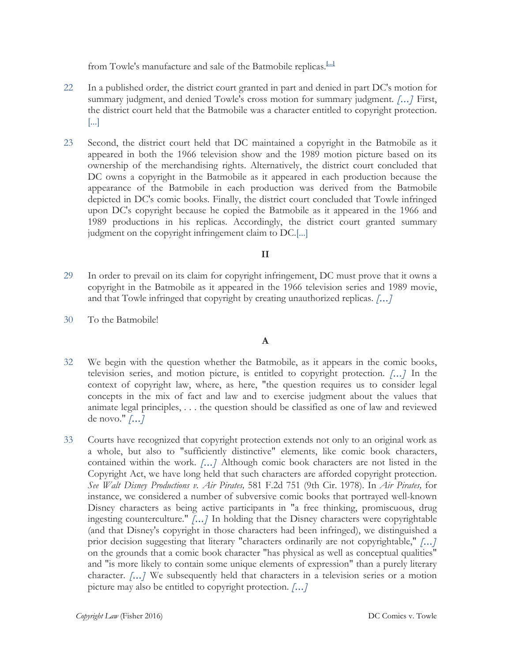from Towle's manufacture and sale of the Batmobile replicas.**[...]**

- 22 In a published order, the district court granted in part and denied in part DC's motion for summary judgment, and denied Towle's cross motion for summary judgment. *[...]* First, the district court held that the Batmobile was a character entitled to copyright protection.  $\left| \ldots \right|$
- 23 Second, the district court held that DC maintained a copyright in the Batmobile as it appeared in both the 1966 television show and the 1989 motion picture based on its ownership of the merchandising rights. Alternatively, the district court concluded that DC owns a copyright in the Batmobile as it appeared in each production because the appearance of the Batmobile in each production was derived from the Batmobile depicted in DC's comic books. Finally, the district court concluded that Towle infringed upon DC's copyright because he copied the Batmobile as it appeared in the 1966 and 1989 productions in his replicas. Accordingly, the district court granted summary judgment on the copyright infringement claim to DC.[...]

## **II**

- 29 In order to prevail on its claim for copyright infringement, DC must prove that it owns a copyright in the Batmobile as it appeared in the 1966 television series and 1989 movie, and that Towle infringed that copyright by creating unauthorized replicas. *[...]*
- 30 To the Batmobile!

**A**

- 32 We begin with the question whether the Batmobile, as it appears in the comic books, television series, and motion picture, is entitled to copyright protection. *[...]* In the context of copyright law, where, as here, "the question requires us to consider legal concepts in the mix of fact and law and to exercise judgment about the values that animate legal principles, . . . the question should be classified as one of law and reviewed de novo." *[...]*
- 33 Courts have recognized that copyright protection extends not only to an original work as a whole, but also to "sufficiently distinctive" elements, like comic book characters, contained within the work. *[...]* Although comic book characters are not listed in the Copyright Act, we have long held that such characters are afforded copyright protection. *See Walt Disney Productions v. Air Pirates,* 581 F.2d 751 (9th Cir. 1978). In *Air Pirates,* for instance, we considered a number of subversive comic books that portrayed well-known Disney characters as being active participants in "a free thinking, promiscuous, drug ingesting counterculture." *[...]* In holding that the Disney characters were copyrightable (and that Disney's copyright in those characters had been infringed), we distinguished a prior decision suggesting that literary "characters ordinarily are not copyrightable," *[...]* on the grounds that a comic book character "has physical as well as conceptual qualities" and "is more likely to contain some unique elements of expression" than a purely literary character. *[...]* We subsequently held that characters in a television series or a motion picture may also be entitled to copyright protection. *[...]*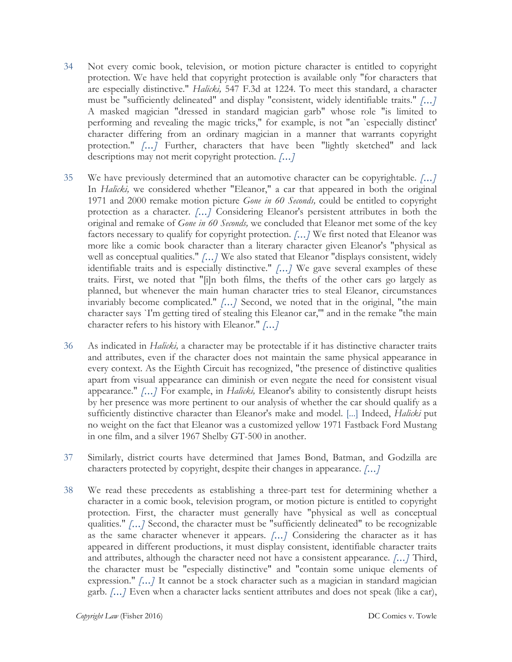- 34 Not every comic book, television, or motion picture character is entitled to copyright protection. We have held that copyright protection is available only "for characters that are especially distinctive." *Halicki,* 547 F.3d at 1224. To meet this standard, a character must be "sufficiently delineated" and display "consistent, widely identifiable traits." *[...]* A masked magician "dressed in standard magician garb" whose role "is limited to performing and revealing the magic tricks," for example, is not "an `especially distinct' character differing from an ordinary magician in a manner that warrants copyright protection." [...] Further, characters that have been "lightly sketched" and lack descriptions may not merit copyright protection. *[...]*
- 35 We have previously determined that an automotive character can be copyrightable. *[...]* In *Halicki*, we considered whether "Eleanor," a car that appeared in both the original 1971 and 2000 remake motion picture *Gone in 60 Seconds,* could be entitled to copyright protection as a character. *[...]* Considering Eleanor's persistent attributes in both the original and remake of *Gone in 60 Seconds,* we concluded that Eleanor met some of the key factors necessary to qualify for copyright protection. *[...]* We first noted that Eleanor was more like a comic book character than a literary character given Eleanor's "physical as well as conceptual qualities." [...] We also stated that Eleanor "displays consistent, widely identifiable traits and is especially distinctive." *[...]* We gave several examples of these traits. First, we noted that "[i]n both films, the thefts of the other cars go largely as planned, but whenever the main human character tries to steal Eleanor, circumstances invariably become complicated." *[...]* Second, we noted that in the original, "the main character says `I'm getting tired of stealing this Eleanor car,'" and in the remake "the main character refers to his history with Eleanor." *[...]*
- 36 As indicated in *Halicki,* a character may be protectable if it has distinctive character traits and attributes, even if the character does not maintain the same physical appearance in every context. As the Eighth Circuit has recognized, "the presence of distinctive qualities apart from visual appearance can diminish or even negate the need for consistent visual appearance." *[...]* For example, in *Halicki,* Eleanor's ability to consistently disrupt heists by her presence was more pertinent to our analysis of whether the car should qualify as a sufficiently distinctive character than Eleanor's make and model. [...] Indeed, *Halicki* put no weight on the fact that Eleanor was a customized yellow 1971 Fastback Ford Mustang in one film, and a silver 1967 Shelby GT-500 in another.
- 37 Similarly, district courts have determined that James Bond, Batman, and Godzilla are characters protected by copyright, despite their changes in appearance. *[...]*
- 38 We read these precedents as establishing a three-part test for determining whether a character in a comic book, television program, or motion picture is entitled to copyright protection. First, the character must generally have "physical as well as conceptual qualities." *[...]* Second, the character must be "sufficiently delineated" to be recognizable as the same character whenever it appears. *[...]* Considering the character as it has appeared in different productions, it must display consistent, identifiable character traits and attributes, although the character need not have a consistent appearance. *[...]* Third, the character must be "especially distinctive" and "contain some unique elements of expression." *[...]* It cannot be a stock character such as a magician in standard magician garb. *[...]* Even when a character lacks sentient attributes and does not speak (like a car),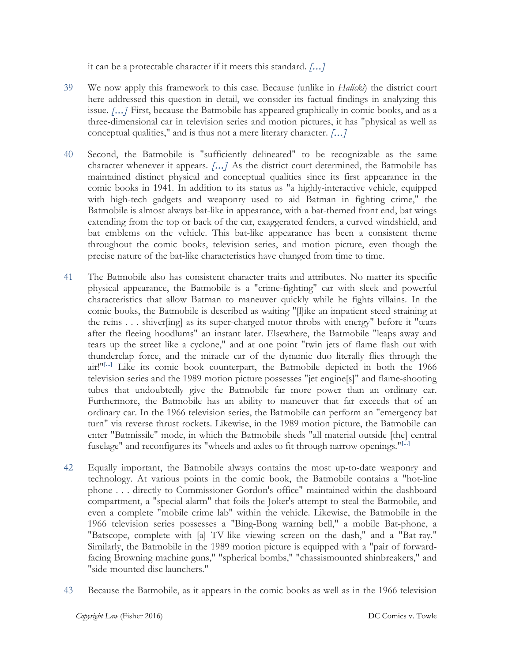it can be a protectable character if it meets this standard. *[...]*

- 39 We now apply this framework to this case. Because (unlike in *Halicki*) the district court here addressed this question in detail, we consider its factual findings in analyzing this issue. *[...]* First, because the Batmobile has appeared graphically in comic books, and as a three-dimensional car in television series and motion pictures, it has "physical as well as conceptual qualities," and is thus not a mere literary character. *[...]*
- 40 Second, the Batmobile is "sufficiently delineated" to be recognizable as the same character whenever it appears. *[...]* As the district court determined, the Batmobile has maintained distinct physical and conceptual qualities since its first appearance in the comic books in 1941. In addition to its status as "a highly-interactive vehicle, equipped with high-tech gadgets and weaponry used to aid Batman in fighting crime," the Batmobile is almost always bat-like in appearance, with a bat-themed front end, bat wings extending from the top or back of the car, exaggerated fenders, a curved windshield, and bat emblems on the vehicle. This bat-like appearance has been a consistent theme throughout the comic books, television series, and motion picture, even though the precise nature of the bat-like characteristics have changed from time to time.
- 41 The Batmobile also has consistent character traits and attributes. No matter its specific physical appearance, the Batmobile is a "crime-fighting" car with sleek and powerful characteristics that allow Batman to maneuver quickly while he fights villains. In the comic books, the Batmobile is described as waiting "[l]ike an impatient steed straining at the reins . . . shiver[ing] as its super-charged motor throbs with energy" before it "tears after the fleeing hoodlums" an instant later. Elsewhere, the Batmobile "leaps away and tears up the street like a cyclone," and at one point "twin jets of flame flash out with thunderclap force, and the miracle car of the dynamic duo literally flies through the air!"**[...]** Like its comic book counterpart, the Batmobile depicted in both the 1966 television series and the 1989 motion picture possesses "jet engine[s]" and flame-shooting tubes that undoubtedly give the Batmobile far more power than an ordinary car. Furthermore, the Batmobile has an ability to maneuver that far exceeds that of an ordinary car. In the 1966 television series, the Batmobile can perform an "emergency bat turn" via reverse thrust rockets. Likewise, in the 1989 motion picture, the Batmobile can enter "Batmissile" mode, in which the Batmobile sheds "all material outside [the] central fuselage" and reconfigures its "wheels and axles to fit through narrow openings."**[...]**
- 42 Equally important, the Batmobile always contains the most up-to-date weaponry and technology. At various points in the comic book, the Batmobile contains a "hot-line phone . . . directly to Commissioner Gordon's office" maintained within the dashboard compartment, a "special alarm" that foils the Joker's attempt to steal the Batmobile, and even a complete "mobile crime lab" within the vehicle. Likewise, the Batmobile in the 1966 television series possesses a "Bing-Bong warning bell," a mobile Bat-phone, a "Batscope, complete with [a] TV-like viewing screen on the dash," and a "Bat-ray." Similarly, the Batmobile in the 1989 motion picture is equipped with a "pair of forwardfacing Browning machine guns," "spherical bombs," "chassismounted shinbreakers," and "side-mounted disc launchers."
- 43 Because the Batmobile, as it appears in the comic books as well as in the 1966 television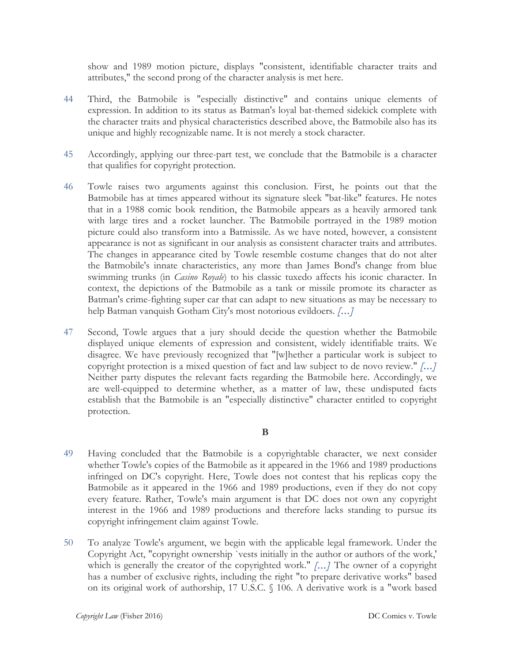show and 1989 motion picture, displays "consistent, identifiable character traits and attributes," the second prong of the character analysis is met here.

- 44 Third, the Batmobile is "especially distinctive" and contains unique elements of expression. In addition to its status as Batman's loyal bat-themed sidekick complete with the character traits and physical characteristics described above, the Batmobile also has its unique and highly recognizable name. It is not merely a stock character.
- 45 Accordingly, applying our three-part test, we conclude that the Batmobile is a character that qualifies for copyright protection.
- 46 Towle raises two arguments against this conclusion. First, he points out that the Batmobile has at times appeared without its signature sleek "bat-like" features. He notes that in a 1988 comic book rendition, the Batmobile appears as a heavily armored tank with large tires and a rocket launcher. The Batmobile portrayed in the 1989 motion picture could also transform into a Batmissile. As we have noted, however, a consistent appearance is not as significant in our analysis as consistent character traits and attributes. The changes in appearance cited by Towle resemble costume changes that do not alter the Batmobile's innate characteristics, any more than James Bond's change from blue swimming trunks (in *Casino Royale*) to his classic tuxedo affects his iconic character. In context, the depictions of the Batmobile as a tank or missile promote its character as Batman's crime-fighting super car that can adapt to new situations as may be necessary to help Batman vanquish Gotham City's most notorious evildoers. *[...]*
- 47 Second, Towle argues that a jury should decide the question whether the Batmobile displayed unique elements of expression and consistent, widely identifiable traits. We disagree. We have previously recognized that "[w]hether a particular work is subject to copyright protection is a mixed question of fact and law subject to de novo review." *[...]* Neither party disputes the relevant facts regarding the Batmobile here. Accordingly, we are well-equipped to determine whether, as a matter of law, these undisputed facts establish that the Batmobile is an "especially distinctive" character entitled to copyright protection.

## **B**

- 49 Having concluded that the Batmobile is a copyrightable character, we next consider whether Towle's copies of the Batmobile as it appeared in the 1966 and 1989 productions infringed on DC's copyright. Here, Towle does not contest that his replicas copy the Batmobile as it appeared in the 1966 and 1989 productions, even if they do not copy every feature. Rather, Towle's main argument is that DC does not own any copyright interest in the 1966 and 1989 productions and therefore lacks standing to pursue its copyright infringement claim against Towle.
- 50 To analyze Towle's argument, we begin with the applicable legal framework. Under the Copyright Act, "copyright ownership `vests initially in the author or authors of the work,' which is generally the creator of the copyrighted work." *[...]* The owner of a copyright has a number of exclusive rights, including the right "to prepare derivative works" based on its original work of authorship, 17 U.S.C. § 106. A derivative work is a "work based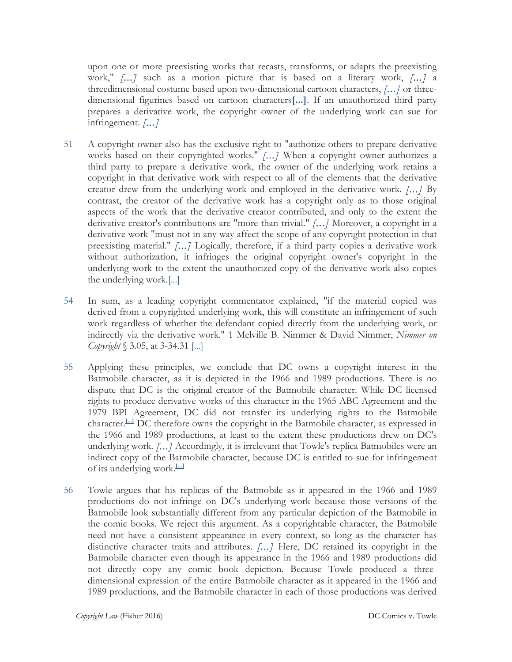upon one or more preexisting works that recasts, transforms, or adapts the preexisting work," *[...]* such as a motion picture that is based on a literary work, *[...]* a threedimensional costume based upon two-dimensional cartoon characters, *[...]* or threedimensional figurines based on cartoon characters**[...]**. If an unauthorized third party prepares a derivative work, the copyright owner of the underlying work can sue for infringement. *[...]*

- 51 A copyright owner also has the exclusive right to "authorize others to prepare derivative works based on their copyrighted works." *[...]* When a copyright owner authorizes a third party to prepare a derivative work, the owner of the underlying work retains a copyright in that derivative work with respect to all of the elements that the derivative creator drew from the underlying work and employed in the derivative work. *[...]* By contrast, the creator of the derivative work has a copyright only as to those original aspects of the work that the derivative creator contributed, and only to the extent the derivative creator's contributions are "more than trivial." *[...]* Moreover, a copyright in a derivative work "must not in any way affect the scope of any copyright protection in that preexisting material." *[...]* Logically, therefore, if a third party copies a derivative work without authorization, it infringes the original copyright owner's copyright in the underlying work to the extent the unauthorized copy of the derivative work also copies the underlying work.[...]
- 54 In sum, as a leading copyright commentator explained, "if the material copied was derived from a copyrighted underlying work, this will constitute an infringement of such work regardless of whether the defendant copied directly from the underlying work, or indirectly via the derivative work." 1 Melville B. Nimmer & David Nimmer, *Nimmer on Copyright* § 3.05, at 3-34.31 [...]
- 55 Applying these principles, we conclude that DC owns a copyright interest in the Batmobile character, as it is depicted in the 1966 and 1989 productions. There is no dispute that DC is the original creator of the Batmobile character. While DC licensed rights to produce derivative works of this character in the 1965 ABC Agreement and the 1979 BPI Agreement, DC did not transfer its underlying rights to the Batmobile character.**[...]** DC therefore owns the copyright in the Batmobile character, as expressed in the 1966 and 1989 productions, at least to the extent these productions drew on DC's underlying work. *[...]* Accordingly, it is irrelevant that Towle's replica Batmobiles were an indirect copy of the Batmobile character, because DC is entitled to sue for infringement of its underlying work.**[...]**
- 56 Towle argues that his replicas of the Batmobile as it appeared in the 1966 and 1989 productions do not infringe on DC's underlying work because those versions of the Batmobile look substantially different from any particular depiction of the Batmobile in the comic books. We reject this argument. As a copyrightable character, the Batmobile need not have a consistent appearance in every context, so long as the character has distinctive character traits and attributes. *[...]* Here, DC retained its copyright in the Batmobile character even though its appearance in the 1966 and 1989 productions did not directly copy any comic book depiction. Because Towle produced a threedimensional expression of the entire Batmobile character as it appeared in the 1966 and 1989 productions, and the Batmobile character in each of those productions was derived